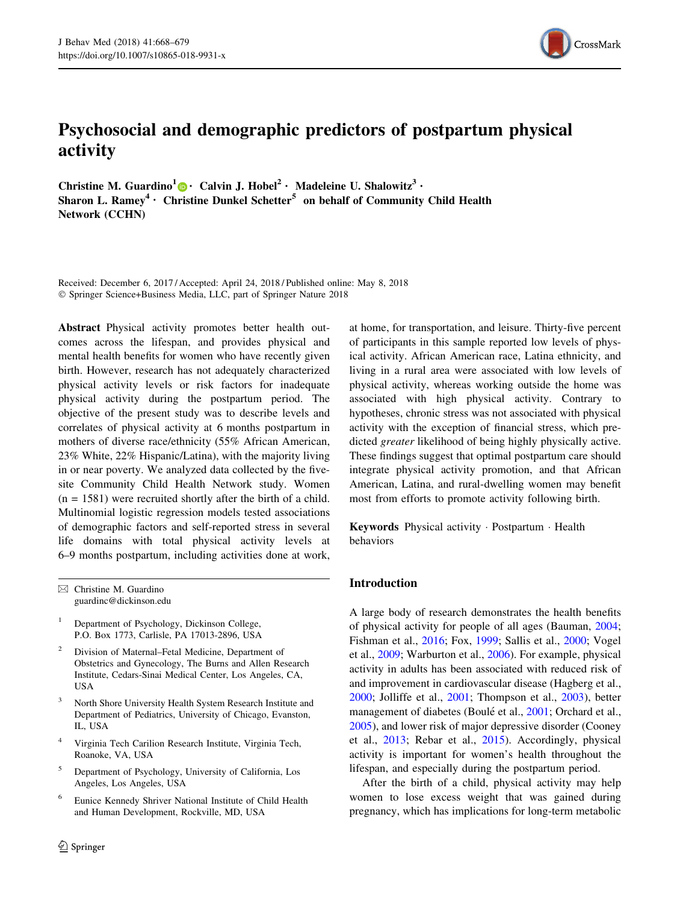# Psychosocial and demographic predictors of postpartum physical activity

Christine M. Guardino<sup>1</sup> • Calvin J. Hobel<sup>2</sup> • Madeleine U. Shalowitz<sup>3</sup> • Sharon L. Ramey<sup>4</sup> • Christine Dunkel Schetter<sup>5</sup> on behalf of Community Child Health Network (CCHN)

Received: December 6, 2017 / Accepted: April 24, 2018 / Published online: May 8, 2018 - Springer Science+Business Media, LLC, part of Springer Nature 2018

Abstract Physical activity promotes better health outcomes across the lifespan, and provides physical and mental health benefits for women who have recently given birth. However, research has not adequately characterized physical activity levels or risk factors for inadequate physical activity during the postpartum period. The objective of the present study was to describe levels and correlates of physical activity at 6 months postpartum in mothers of diverse race/ethnicity (55% African American, 23% White, 22% Hispanic/Latina), with the majority living in or near poverty. We analyzed data collected by the fivesite Community Child Health Network study. Women  $(n = 1581)$  were recruited shortly after the birth of a child. Multinomial logistic regression models tested associations of demographic factors and self-reported stress in several life domains with total physical activity levels at 6–9 months postpartum, including activities done at work,

 $\boxtimes$  Christine M. Guardino guardinc@dickinson.edu

- <sup>1</sup> Department of Psychology, Dickinson College, P.O. Box 1773, Carlisle, PA 17013-2896, USA
- <sup>2</sup> Division of Maternal–Fetal Medicine, Department of Obstetrics and Gynecology, The Burns and Allen Research Institute, Cedars-Sinai Medical Center, Los Angeles, CA, USA
- <sup>3</sup> North Shore University Health System Research Institute and Department of Pediatrics, University of Chicago, Evanston, IL, USA
- <sup>4</sup> Virginia Tech Carilion Research Institute, Virginia Tech, Roanoke, VA, USA
- <sup>5</sup> Department of Psychology, University of California, Los Angeles, Los Angeles, USA
- <sup>6</sup> Eunice Kennedy Shriver National Institute of Child Health and Human Development, Rockville, MD, USA

at home, for transportation, and leisure. Thirty-five percent of participants in this sample reported low levels of physical activity. African American race, Latina ethnicity, and living in a rural area were associated with low levels of physical activity, whereas working outside the home was associated with high physical activity. Contrary to hypotheses, chronic stress was not associated with physical activity with the exception of financial stress, which predicted greater likelihood of being highly physically active. These findings suggest that optimal postpartum care should integrate physical activity promotion, and that African American, Latina, and rural-dwelling women may benefit most from efforts to promote activity following birth.

Keywords Physical activity - Postpartum - Health behaviors

# Introduction

A large body of research demonstrates the health benefits of physical activity for people of all ages (Bauman, [2004](#page-9-0); Fishman et al., [2016;](#page-9-0) Fox, [1999;](#page-9-0) Sallis et al., [2000;](#page-10-0) Vogel et al., [2009;](#page-11-0) Warburton et al., [2006\)](#page-11-0). For example, physical activity in adults has been associated with reduced risk of and improvement in cardiovascular disease (Hagberg et al., [2000](#page-9-0); Jolliffe et al., [2001;](#page-10-0) Thompson et al., [2003\)](#page-11-0), better management of diabetes (Boulé et al., [2001](#page-9-0); Orchard et al., [2005](#page-10-0)), and lower risk of major depressive disorder (Cooney et al., [2013;](#page-9-0) Rebar et al., [2015](#page-10-0)). Accordingly, physical activity is important for women's health throughout the lifespan, and especially during the postpartum period.

After the birth of a child, physical activity may help women to lose excess weight that was gained during pregnancy, which has implications for long-term metabolic

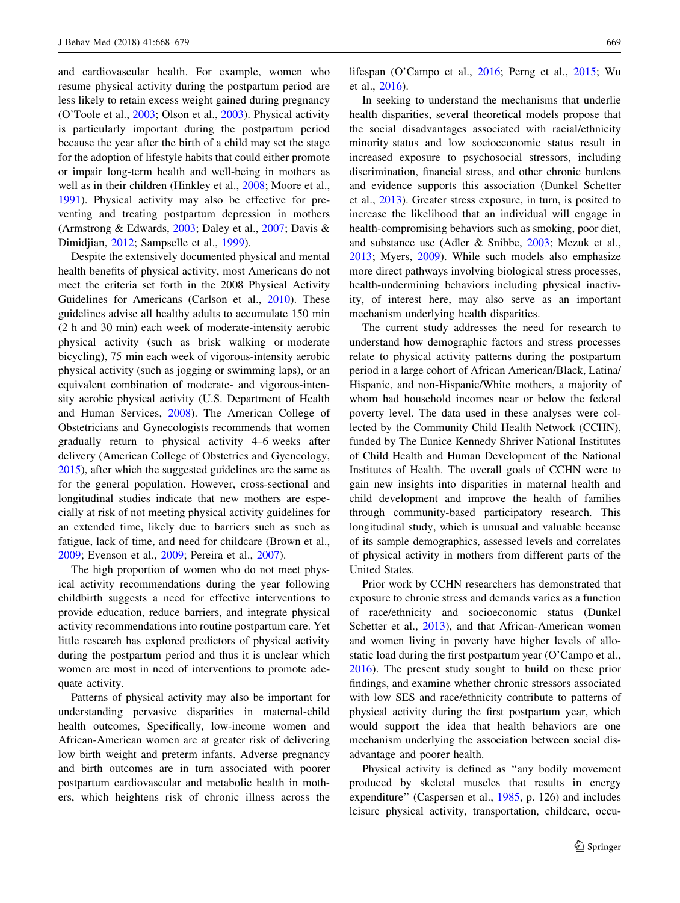and cardiovascular health. For example, women who resume physical activity during the postpartum period are less likely to retain excess weight gained during pregnancy (O'Toole et al., [2003](#page-10-0); Olson et al., [2003\)](#page-10-0). Physical activity is particularly important during the postpartum period because the year after the birth of a child may set the stage for the adoption of lifestyle habits that could either promote or impair long-term health and well-being in mothers as well as in their children (Hinkley et al., [2008](#page-10-0); Moore et al., [1991\)](#page-10-0). Physical activity may also be effective for preventing and treating postpartum depression in mothers (Armstrong & Edwards, [2003;](#page-9-0) Daley et al., [2007](#page-9-0); Davis & Dimidjian, [2012](#page-9-0); Sampselle et al., [1999](#page-11-0)).

Despite the extensively documented physical and mental health benefits of physical activity, most Americans do not meet the criteria set forth in the 2008 Physical Activity Guidelines for Americans (Carlson et al., [2010](#page-9-0)). These guidelines advise all healthy adults to accumulate 150 min (2 h and 30 min) each week of moderate-intensity aerobic physical activity (such as brisk walking or moderate bicycling), 75 min each week of vigorous-intensity aerobic physical activity (such as jogging or swimming laps), or an equivalent combination of moderate- and vigorous-intensity aerobic physical activity (U.S. Department of Health and Human Services, [2008](#page-11-0)). The American College of Obstetricians and Gynecologists recommends that women gradually return to physical activity 4–6 weeks after delivery (American College of Obstetrics and Gyencology, [2015\)](#page-9-0), after which the suggested guidelines are the same as for the general population. However, cross-sectional and longitudinal studies indicate that new mothers are especially at risk of not meeting physical activity guidelines for an extended time, likely due to barriers such as such as fatigue, lack of time, and need for childcare (Brown et al., [2009;](#page-9-0) Evenson et al., [2009](#page-9-0); Pereira et al., [2007\)](#page-10-0).

The high proportion of women who do not meet physical activity recommendations during the year following childbirth suggests a need for effective interventions to provide education, reduce barriers, and integrate physical activity recommendations into routine postpartum care. Yet little research has explored predictors of physical activity during the postpartum period and thus it is unclear which women are most in need of interventions to promote adequate activity.

Patterns of physical activity may also be important for understanding pervasive disparities in maternal-child health outcomes, Specifically, low-income women and African-American women are at greater risk of delivering low birth weight and preterm infants. Adverse pregnancy and birth outcomes are in turn associated with poorer postpartum cardiovascular and metabolic health in mothers, which heightens risk of chronic illness across the lifespan (O'Campo et al., [2016](#page-10-0); Perng et al., [2015](#page-10-0); Wu et al., [2016](#page-11-0)).

In seeking to understand the mechanisms that underlie health disparities, several theoretical models propose that the social disadvantages associated with racial/ethnicity minority status and low socioeconomic status result in increased exposure to psychosocial stressors, including discrimination, financial stress, and other chronic burdens and evidence supports this association (Dunkel Schetter et al., [2013](#page-9-0)). Greater stress exposure, in turn, is posited to increase the likelihood that an individual will engage in health-compromising behaviors such as smoking, poor diet, and substance use (Adler & Snibbe, [2003;](#page-9-0) Mezuk et al., [2013](#page-10-0); Myers, [2009\)](#page-10-0). While such models also emphasize more direct pathways involving biological stress processes, health-undermining behaviors including physical inactivity, of interest here, may also serve as an important mechanism underlying health disparities.

The current study addresses the need for research to understand how demographic factors and stress processes relate to physical activity patterns during the postpartum period in a large cohort of African American/Black, Latina/ Hispanic, and non-Hispanic/White mothers, a majority of whom had household incomes near or below the federal poverty level. The data used in these analyses were collected by the Community Child Health Network (CCHN), funded by The Eunice Kennedy Shriver National Institutes of Child Health and Human Development of the National Institutes of Health. The overall goals of CCHN were to gain new insights into disparities in maternal health and child development and improve the health of families through community-based participatory research. This longitudinal study, which is unusual and valuable because of its sample demographics, assessed levels and correlates of physical activity in mothers from different parts of the United States.

Prior work by CCHN researchers has demonstrated that exposure to chronic stress and demands varies as a function of race/ethnicity and socioeconomic status (Dunkel Schetter et al., [2013](#page-9-0)), and that African-American women and women living in poverty have higher levels of allostatic load during the first postpartum year (O'Campo et al., [2016](#page-10-0)). The present study sought to build on these prior findings, and examine whether chronic stressors associated with low SES and race/ethnicity contribute to patterns of physical activity during the first postpartum year, which would support the idea that health behaviors are one mechanism underlying the association between social disadvantage and poorer health.

Physical activity is defined as ''any bodily movement produced by skeletal muscles that results in energy expenditure'' (Caspersen et al., [1985,](#page-9-0) p. 126) and includes leisure physical activity, transportation, childcare, occu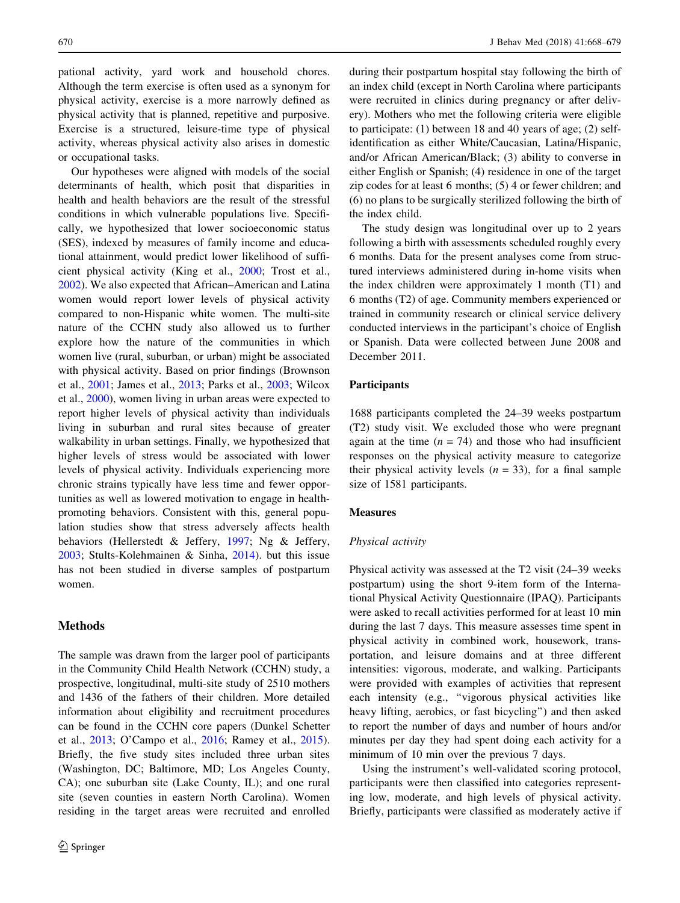pational activity, yard work and household chores. Although the term exercise is often used as a synonym for physical activity, exercise is a more narrowly defined as physical activity that is planned, repetitive and purposive. Exercise is a structured, leisure-time type of physical activity, whereas physical activity also arises in domestic or occupational tasks.

Our hypotheses were aligned with models of the social determinants of health, which posit that disparities in health and health behaviors are the result of the stressful conditions in which vulnerable populations live. Specifically, we hypothesized that lower socioeconomic status (SES), indexed by measures of family income and educational attainment, would predict lower likelihood of sufficient physical activity (King et al., [2000](#page-10-0); Trost et al., [2002\)](#page-11-0). We also expected that African–American and Latina women would report lower levels of physical activity compared to non-Hispanic white women. The multi-site nature of the CCHN study also allowed us to further explore how the nature of the communities in which women live (rural, suburban, or urban) might be associated with physical activity. Based on prior findings (Brownson et al., [2001;](#page-9-0) James et al., [2013](#page-10-0); Parks et al., [2003;](#page-10-0) Wilcox et al., [2000\)](#page-11-0), women living in urban areas were expected to report higher levels of physical activity than individuals living in suburban and rural sites because of greater walkability in urban settings. Finally, we hypothesized that higher levels of stress would be associated with lower levels of physical activity. Individuals experiencing more chronic strains typically have less time and fewer opportunities as well as lowered motivation to engage in healthpromoting behaviors. Consistent with this, general population studies show that stress adversely affects health behaviors (Hellerstedt & Jeffery, [1997;](#page-9-0) Ng & Jeffery, [2003;](#page-10-0) Stults-Kolehmainen & Sinha, [2014\)](#page-11-0). but this issue has not been studied in diverse samples of postpartum women.

# Methods

The sample was drawn from the larger pool of participants in the Community Child Health Network (CCHN) study, a prospective, longitudinal, multi-site study of 2510 mothers and 1436 of the fathers of their children. More detailed information about eligibility and recruitment procedures can be found in the CCHN core papers (Dunkel Schetter et al., [2013;](#page-9-0) O'Campo et al., [2016](#page-10-0); Ramey et al., [2015](#page-10-0)). Briefly, the five study sites included three urban sites (Washington, DC; Baltimore, MD; Los Angeles County, CA); one suburban site (Lake County, IL); and one rural site (seven counties in eastern North Carolina). Women residing in the target areas were recruited and enrolled during their postpartum hospital stay following the birth of an index child (except in North Carolina where participants were recruited in clinics during pregnancy or after delivery). Mothers who met the following criteria were eligible to participate: (1) between 18 and 40 years of age; (2) selfidentification as either White/Caucasian, Latina/Hispanic, and/or African American/Black; (3) ability to converse in either English or Spanish; (4) residence in one of the target zip codes for at least 6 months; (5) 4 or fewer children; and (6) no plans to be surgically sterilized following the birth of the index child.

The study design was longitudinal over up to 2 years following a birth with assessments scheduled roughly every 6 months. Data for the present analyses come from structured interviews administered during in-home visits when the index children were approximately 1 month (T1) and 6 months (T2) of age. Community members experienced or trained in community research or clinical service delivery conducted interviews in the participant's choice of English or Spanish. Data were collected between June 2008 and December 2011.

## Participants

1688 participants completed the 24–39 weeks postpartum (T2) study visit. We excluded those who were pregnant again at the time  $(n = 74)$  and those who had insufficient responses on the physical activity measure to categorize their physical activity levels  $(n = 33)$ , for a final sample size of 1581 participants.

#### Measures

## Physical activity

Physical activity was assessed at the T2 visit (24–39 weeks postpartum) using the short 9-item form of the International Physical Activity Questionnaire (IPAQ). Participants were asked to recall activities performed for at least 10 min during the last 7 days. This measure assesses time spent in physical activity in combined work, housework, transportation, and leisure domains and at three different intensities: vigorous, moderate, and walking. Participants were provided with examples of activities that represent each intensity (e.g., "vigorous physical activities like heavy lifting, aerobics, or fast bicycling'') and then asked to report the number of days and number of hours and/or minutes per day they had spent doing each activity for a minimum of 10 min over the previous 7 days.

Using the instrument's well-validated scoring protocol, participants were then classified into categories representing low, moderate, and high levels of physical activity. Briefly, participants were classified as moderately active if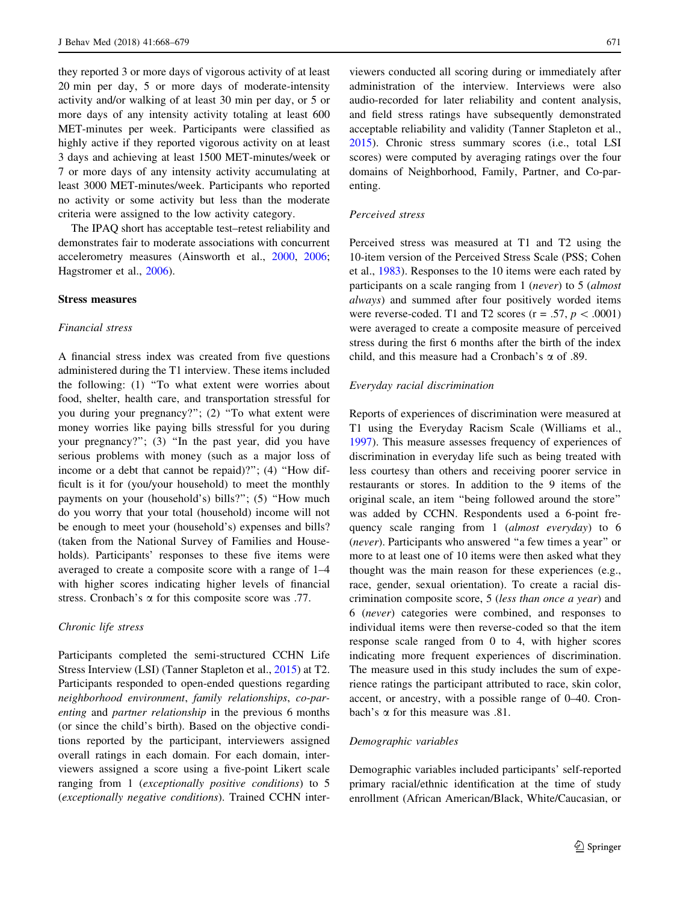they reported 3 or more days of vigorous activity of at least 20 min per day, 5 or more days of moderate-intensity activity and/or walking of at least 30 min per day, or 5 or more days of any intensity activity totaling at least 600 MET-minutes per week. Participants were classified as highly active if they reported vigorous activity on at least 3 days and achieving at least 1500 MET-minutes/week or 7 or more days of any intensity activity accumulating at least 3000 MET-minutes/week. Participants who reported no activity or some activity but less than the moderate criteria were assigned to the low activity category.

The IPAQ short has acceptable test–retest reliability and demonstrates fair to moderate associations with concurrent accelerometry measures (Ainsworth et al., [2000](#page-9-0), [2006](#page-9-0); Hagstromer et al., [2006\)](#page-9-0).

## Stress measures

#### Financial stress

A financial stress index was created from five questions administered during the T1 interview. These items included the following: (1) ''To what extent were worries about food, shelter, health care, and transportation stressful for you during your pregnancy?"; (2) "To what extent were money worries like paying bills stressful for you during your pregnancy?''; (3) ''In the past year, did you have serious problems with money (such as a major loss of income or a debt that cannot be repaid)?"; (4) "How difficult is it for (you/your household) to meet the monthly payments on your (household's) bills?"; (5) "How much do you worry that your total (household) income will not be enough to meet your (household's) expenses and bills? (taken from the National Survey of Families and Households). Participants' responses to these five items were averaged to create a composite score with a range of 1–4 with higher scores indicating higher levels of financial stress. Cronbach's  $\alpha$  for this composite score was .77.

## Chronic life stress

Participants completed the semi-structured CCHN Life Stress Interview (LSI) (Tanner Stapleton et al., [2015](#page-11-0)) at T2. Participants responded to open-ended questions regarding neighborhood environment, family relationships, co-parenting and partner relationship in the previous 6 months (or since the child's birth). Based on the objective conditions reported by the participant, interviewers assigned overall ratings in each domain. For each domain, interviewers assigned a score using a five-point Likert scale ranging from 1 (exceptionally positive conditions) to 5 (exceptionally negative conditions). Trained CCHN inter-

viewers conducted all scoring during or immediately after administration of the interview. Interviews were also audio-recorded for later reliability and content analysis, and field stress ratings have subsequently demonstrated acceptable reliability and validity (Tanner Stapleton et al., [2015](#page-11-0)). Chronic stress summary scores (i.e., total LSI scores) were computed by averaging ratings over the four domains of Neighborhood, Family, Partner, and Co-parenting.

### Perceived stress

Perceived stress was measured at T1 and T2 using the 10-item version of the Perceived Stress Scale (PSS; Cohen et al., [1983](#page-9-0)). Responses to the 10 items were each rated by participants on a scale ranging from 1 (never) to 5 (almost always) and summed after four positively worded items were reverse-coded. T1 and T2 scores ( $r = .57$ ,  $p < .0001$ ) were averaged to create a composite measure of perceived stress during the first 6 months after the birth of the index child, and this measure had a Cronbach's  $\alpha$  of .89.

#### Everyday racial discrimination

Reports of experiences of discrimination were measured at T1 using the Everyday Racism Scale (Williams et al., [1997](#page-11-0)). This measure assesses frequency of experiences of discrimination in everyday life such as being treated with less courtesy than others and receiving poorer service in restaurants or stores. In addition to the 9 items of the original scale, an item ''being followed around the store'' was added by CCHN. Respondents used a 6-point frequency scale ranging from 1 (almost everyday) to 6 (never). Participants who answered ''a few times a year'' or more to at least one of 10 items were then asked what they thought was the main reason for these experiences (e.g., race, gender, sexual orientation). To create a racial discrimination composite score, 5 (less than once a year) and 6 (never) categories were combined, and responses to individual items were then reverse-coded so that the item response scale ranged from 0 to 4, with higher scores indicating more frequent experiences of discrimination. The measure used in this study includes the sum of experience ratings the participant attributed to race, skin color, accent, or ancestry, with a possible range of 0–40. Cronbach's  $\alpha$  for this measure was .81.

## Demographic variables

Demographic variables included participants' self-reported primary racial/ethnic identification at the time of study enrollment (African American/Black, White/Caucasian, or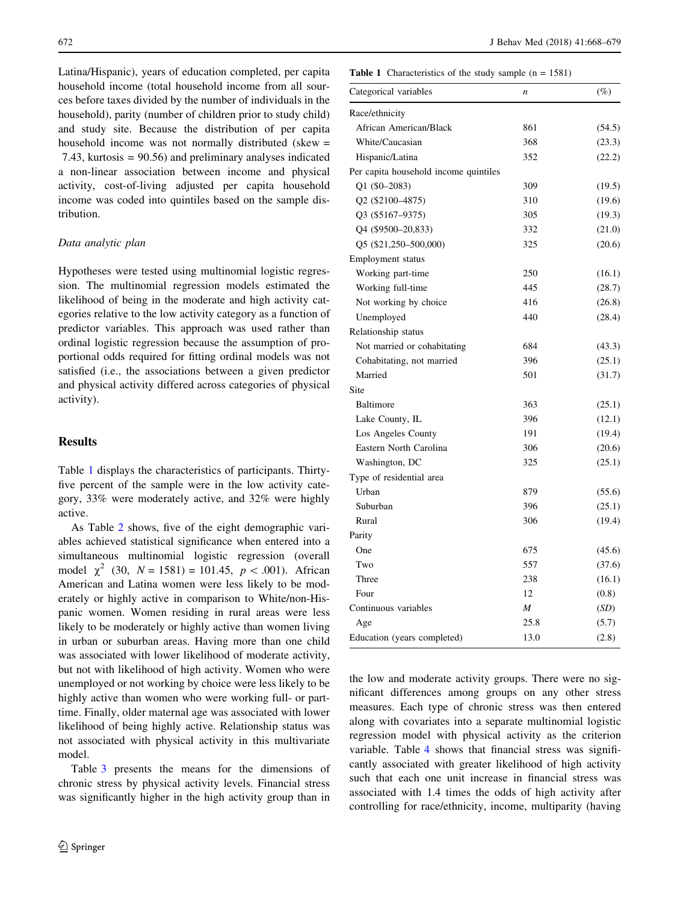Latina/Hispanic), years of education completed, per capita household income (total household income from all sources before taxes divided by the number of individuals in the household), parity (number of children prior to study child) and study site. Because the distribution of per capita household income was not normally distributed (skew = 7.43, kurtosis = 90.56) and preliminary analyses indicated a non-linear association between income and physical activity, cost-of-living adjusted per capita household income was coded into quintiles based on the sample distribution.

### Data analytic plan

Hypotheses were tested using multinomial logistic regression. The multinomial regression models estimated the likelihood of being in the moderate and high activity categories relative to the low activity category as a function of predictor variables. This approach was used rather than ordinal logistic regression because the assumption of proportional odds required for fitting ordinal models was not satisfied (i.e., the associations between a given predictor and physical activity differed across categories of physical activity).

# Results

Table 1 displays the characteristics of participants. Thirtyfive percent of the sample were in the low activity category, 33% were moderately active, and 32% were highly active.

As Table [2](#page-5-0) shows, five of the eight demographic variables achieved statistical significance when entered into a simultaneous multinomial logistic regression (overall model  $\chi^2$  (30,  $N = 1581$ ) = 101.45,  $p < .001$ ). African American and Latina women were less likely to be moderately or highly active in comparison to White/non-Hispanic women. Women residing in rural areas were less likely to be moderately or highly active than women living in urban or suburban areas. Having more than one child was associated with lower likelihood of moderate activity, but not with likelihood of high activity. Women who were unemployed or not working by choice were less likely to be highly active than women who were working full- or parttime. Finally, older maternal age was associated with lower likelihood of being highly active. Relationship status was not associated with physical activity in this multivariate model.

Table [3](#page-5-0) presents the means for the dimensions of chronic stress by physical activity levels. Financial stress was significantly higher in the high activity group than in **Table 1** Characteristics of the study sample  $(n = 1581)$ 

| Categorical variables                 | $\boldsymbol{n}$ | $(\%)$ |
|---------------------------------------|------------------|--------|
| Race/ethnicity                        |                  |        |
| African American/Black                | 861              | (54.5) |
| White/Caucasian                       | 368              | (23.3) |
| Hispanic/Latina                       | 352              | (22.2) |
| Per capita household income quintiles |                  |        |
| Q1 (\$0-2083)                         | 309              | (19.5) |
| Q2 (\$2100-4875)                      | 310              | (19.6) |
| Q3 (\$5167-9375)                      | 305              | (19.3) |
| Q4 (\$9500-20,833)                    | 332              | (21.0) |
| Q5 (\$21,250–500,000)                 | 325              | (20.6) |
| Employment status                     |                  |        |
| Working part-time                     | 250              | (16.1) |
| Working full-time                     | 445              | (28.7) |
| Not working by choice                 | 416              | (26.8) |
| Unemployed                            | 440              | (28.4) |
| Relationship status                   |                  |        |
| Not married or cohabitating           | 684              | (43.3) |
| Cohabitating, not married             | 396              | (25.1) |
| Married                               | 501              | (31.7) |
| Site                                  |                  |        |
| <b>Baltimore</b>                      | 363              | (25.1) |
| Lake County, IL                       | 396              | (12.1) |
| Los Angeles County                    | 191              | (19.4) |
| Eastern North Carolina                | 306              | (20.6) |
| Washington, DC                        | 325              | (25.1) |
| Type of residential area              |                  |        |
| Urban                                 | 879              | (55.6) |
| Suburban                              | 396              | (25.1) |
| Rural                                 | 306              | (19.4) |
| Parity                                |                  |        |
| One                                   | 675              | (45.6) |
| Two                                   | 557              | (37.6) |
| Three                                 | 238              | (16.1) |
| Four                                  | 12               | (0.8)  |
| Continuous variables                  | M                | (SD)   |
| Age                                   | 25.8             | (5.7)  |
| Education (years completed)           | 13.0             | (2.8)  |
|                                       |                  |        |

the low and moderate activity groups. There were no significant differences among groups on any other stress measures. Each type of chronic stress was then entered along with covariates into a separate multinomial logistic regression model with physical activity as the criterion variable. Table [4](#page-6-0) shows that financial stress was significantly associated with greater likelihood of high activity such that each one unit increase in financial stress was associated with 1.4 times the odds of high activity after controlling for race/ethnicity, income, multiparity (having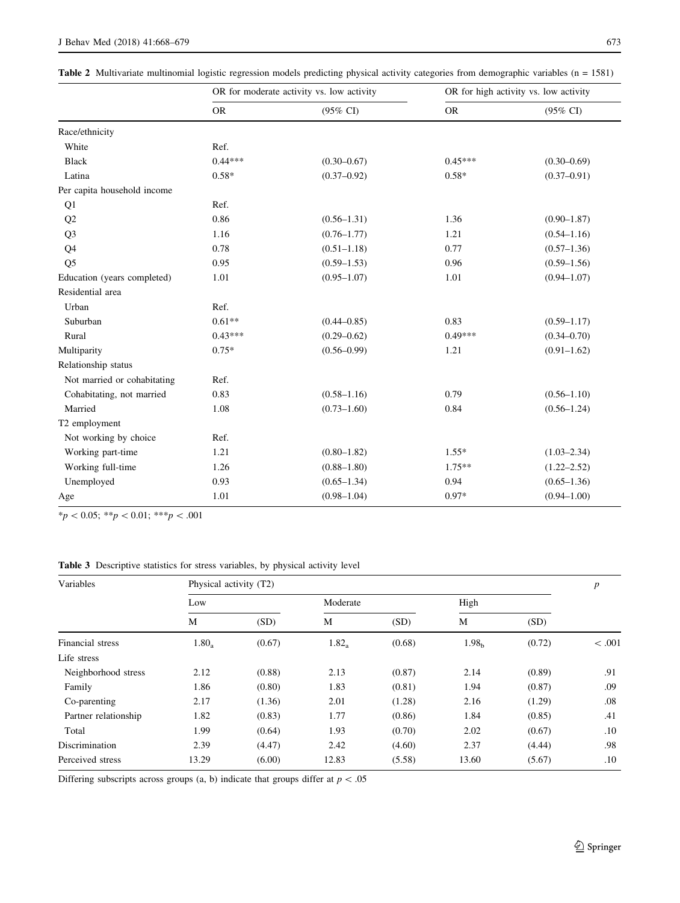<span id="page-5-0"></span>Table 2 Multivariate multinomial logistic regression models predicting physical activity categories from demographic variables (n = 1581)

|                             | OR for moderate activity vs. low activity |                     | OR for high activity vs. low activity |                 |  |
|-----------------------------|-------------------------------------------|---------------------|---------------------------------------|-----------------|--|
|                             | <b>OR</b>                                 | $(95\% \text{ CI})$ | <b>OR</b>                             | (95% CI)        |  |
| Race/ethnicity              |                                           |                     |                                       |                 |  |
| White                       | Ref.                                      |                     |                                       |                 |  |
| <b>Black</b>                | $0.44***$                                 | $(0.30 - 0.67)$     | $0.45***$                             | $(0.30 - 0.69)$ |  |
| Latina                      | $0.58*$                                   | $(0.37 - 0.92)$     | $0.58*$                               | $(0.37 - 0.91)$ |  |
| Per capita household income |                                           |                     |                                       |                 |  |
| Q1                          | Ref.                                      |                     |                                       |                 |  |
| Q2                          | 0.86                                      | $(0.56 - 1.31)$     | 1.36                                  | $(0.90 - 1.87)$ |  |
| Q <sub>3</sub>              | 1.16                                      | $(0.76 - 1.77)$     | 1.21                                  | $(0.54 - 1.16)$ |  |
| Q4                          | 0.78                                      | $(0.51 - 1.18)$     | 0.77                                  | $(0.57-1.36)$   |  |
| Q <sub>5</sub>              | 0.95                                      | $(0.59 - 1.53)$     | 0.96                                  | $(0.59 - 1.56)$ |  |
| Education (years completed) | 1.01                                      | $(0.95 - 1.07)$     | 1.01                                  | $(0.94 - 1.07)$ |  |
| Residential area            |                                           |                     |                                       |                 |  |
| Urban                       | Ref.                                      |                     |                                       |                 |  |
| Suburban                    | $0.61**$                                  | $(0.44 - 0.85)$     | 0.83                                  | $(0.59 - 1.17)$ |  |
| Rural                       | $0.43***$                                 | $(0.29 - 0.62)$     | $0.49***$                             | $(0.34 - 0.70)$ |  |
| Multiparity                 | $0.75*$                                   | $(0.56 - 0.99)$     | 1.21                                  | $(0.91 - 1.62)$ |  |
| Relationship status         |                                           |                     |                                       |                 |  |
| Not married or cohabitating | Ref.                                      |                     |                                       |                 |  |
| Cohabitating, not married   | 0.83                                      | $(0.58 - 1.16)$     | 0.79                                  | $(0.56 - 1.10)$ |  |
| Married                     | 1.08                                      | $(0.73 - 1.60)$     | 0.84                                  | $(0.56 - 1.24)$ |  |
| T2 employment               |                                           |                     |                                       |                 |  |
| Not working by choice       | Ref.                                      |                     |                                       |                 |  |
| Working part-time           | 1.21                                      | $(0.80 - 1.82)$     | $1.55*$                               | $(1.03 - 2.34)$ |  |
| Working full-time           | 1.26                                      | $(0.88 - 1.80)$     | $1.75**$                              | $(1.22 - 2.52)$ |  |
| Unemployed                  | 0.93                                      | $(0.65 - 1.34)$     | 0.94                                  | $(0.65 - 1.36)$ |  |
| Age                         | 1.01                                      | $(0.98 - 1.04)$     | $0.97*$                               | $(0.94 - 1.00)$ |  |

 $^{*}p < 0.05;$   $^{**}p < 0.01;$   $^{***}p < .001$ 

Table 3 Descriptive statistics for stress variables, by physical activity level

| Variables             | Physical activity (T2) |        |          |        |                   | $\boldsymbol{p}$ |         |
|-----------------------|------------------------|--------|----------|--------|-------------------|------------------|---------|
|                       | Low                    |        | Moderate |        | High              |                  |         |
|                       | M                      | (SD)   | M        | (SD)   | M                 | (SD)             |         |
| Financial stress      | $1.80_a$               | (0.67) | $1.82_a$ | (0.68) | 1.98 <sub>b</sub> | (0.72)           | < .001  |
| Life stress           |                        |        |          |        |                   |                  |         |
| Neighborhood stress   | 2.12                   | (0.88) | 2.13     | (0.87) | 2.14              | (0.89)           | .91     |
| Family                | 1.86                   | (0.80) | 1.83     | (0.81) | 1.94              | (0.87)           | .09     |
| Co-parenting          | 2.17                   | (1.36) | 2.01     | (1.28) | 2.16              | (1.29)           | .08     |
| Partner relationship  | 1.82                   | (0.83) | 1.77     | (0.86) | 1.84              | (0.85)           | .41     |
| Total                 | 1.99                   | (0.64) | 1.93     | (0.70) | 2.02              | (0.67)           | $.10\,$ |
| <b>Discrimination</b> | 2.39                   | (4.47) | 2.42     | (4.60) | 2.37              | (4.44)           | .98     |
| Perceived stress      | 13.29                  | (6.00) | 12.83    | (5.58) | 13.60             | (5.67)           | $.10\,$ |

Differing subscripts across groups (a, b) indicate that groups differ at  $p < .05$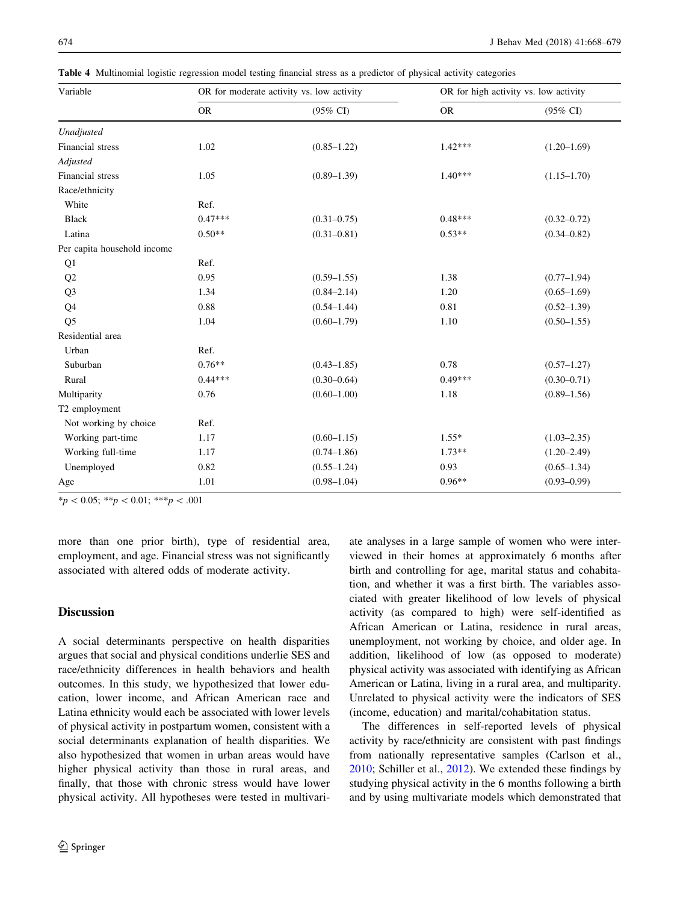| Variable                    |           | OR for moderate activity vs. low activity | OR for high activity vs. low activity |                 |  |
|-----------------------------|-----------|-------------------------------------------|---------------------------------------|-----------------|--|
|                             | <b>OR</b> | (95% CI)                                  | <b>OR</b>                             | (95% CI)        |  |
| Unadjusted                  |           |                                           |                                       |                 |  |
| Financial stress            | 1.02      | $(0.85 - 1.22)$                           | 1.42***                               | $(1.20-1.69)$   |  |
| Adjusted                    |           |                                           |                                       |                 |  |
| Financial stress            | 1.05      | $(0.89 - 1.39)$                           | $1.40***$                             | $(1.15 - 1.70)$ |  |
| Race/ethnicity              |           |                                           |                                       |                 |  |
| White                       | Ref.      |                                           |                                       |                 |  |
| Black                       | $0.47***$ | $(0.31 - 0.75)$                           | $0.48***$                             | $(0.32 - 0.72)$ |  |
| Latina                      | $0.50**$  | $(0.31 - 0.81)$                           | $0.53**$                              | $(0.34 - 0.82)$ |  |
| Per capita household income |           |                                           |                                       |                 |  |
| Q1                          | Ref.      |                                           |                                       |                 |  |
| Q2                          | 0.95      | $(0.59 - 1.55)$                           | 1.38                                  | $(0.77-1.94)$   |  |
| Q <sub>3</sub>              | 1.34      | $(0.84 - 2.14)$                           | 1.20                                  | $(0.65 - 1.69)$ |  |
| Q4                          | 0.88      | $(0.54 - 1.44)$                           | 0.81                                  | $(0.52 - 1.39)$ |  |
| Q <sub>5</sub>              | 1.04      | $(0.60 - 1.79)$                           | 1.10                                  | $(0.50 - 1.55)$ |  |
| Residential area            |           |                                           |                                       |                 |  |
| Urban                       | Ref.      |                                           |                                       |                 |  |
| Suburban                    | $0.76**$  | $(0.43 - 1.85)$                           | 0.78                                  | $(0.57 - 1.27)$ |  |
| Rural                       | $0.44***$ | $(0.30 - 0.64)$                           | $0.49***$                             | $(0.30 - 0.71)$ |  |
| Multiparity                 | 0.76      | $(0.60 - 1.00)$                           | 1.18                                  | $(0.89 - 1.56)$ |  |
| T2 employment               |           |                                           |                                       |                 |  |
| Not working by choice       | Ref.      |                                           |                                       |                 |  |
| Working part-time           | 1.17      | $(0.60 - 1.15)$                           | $1.55*$                               | $(1.03 - 2.35)$ |  |
| Working full-time           | 1.17      | $(0.74 - 1.86)$                           | $1.73**$                              | $(1.20 - 2.49)$ |  |
| Unemployed                  | 0.82      | $(0.55 - 1.24)$                           | 0.93                                  | $(0.65 - 1.34)$ |  |
| Age                         | 1.01      | $(0.98 - 1.04)$                           | $0.96**$                              | $(0.93 - 0.99)$ |  |

<span id="page-6-0"></span>Table 4 Multinomial logistic regression model testing financial stress as a predictor of physical activity categories

 $*_{p}$  < 0.05; \*\*p < 0.01; \*\*\*p < .001

more than one prior birth), type of residential area, employment, and age. Financial stress was not significantly associated with altered odds of moderate activity.

# Discussion

A social determinants perspective on health disparities argues that social and physical conditions underlie SES and race/ethnicity differences in health behaviors and health outcomes. In this study, we hypothesized that lower education, lower income, and African American race and Latina ethnicity would each be associated with lower levels of physical activity in postpartum women, consistent with a social determinants explanation of health disparities. We also hypothesized that women in urban areas would have higher physical activity than those in rural areas, and finally, that those with chronic stress would have lower physical activity. All hypotheses were tested in multivariate analyses in a large sample of women who were interviewed in their homes at approximately 6 months after birth and controlling for age, marital status and cohabitation, and whether it was a first birth. The variables associated with greater likelihood of low levels of physical activity (as compared to high) were self-identified as African American or Latina, residence in rural areas, unemployment, not working by choice, and older age. In addition, likelihood of low (as opposed to moderate) physical activity was associated with identifying as African American or Latina, living in a rural area, and multiparity. Unrelated to physical activity were the indicators of SES (income, education) and marital/cohabitation status.

The differences in self-reported levels of physical activity by race/ethnicity are consistent with past findings from nationally representative samples (Carlson et al., [2010](#page-9-0); Schiller et al., [2012](#page-11-0)). We extended these findings by studying physical activity in the 6 months following a birth and by using multivariate models which demonstrated that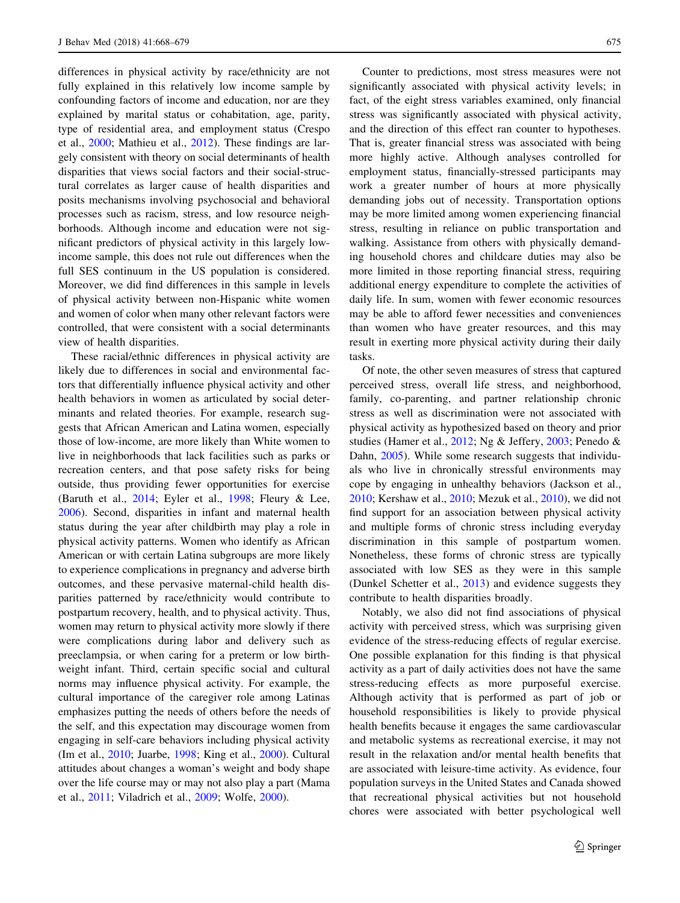differences in physical activity by race/ethnicity are not fully explained in this relatively low income sample by confounding factors of income and education, nor are they explained by marital status or cohabitation, age, parity, type of residential area, and employment status (Crespo et al., [2000;](#page-9-0) Mathieu et al., [2012](#page-10-0)). These findings are largely consistent with theory on social determinants of health disparities that views social factors and their social-structural correlates as larger cause of health disparities and posits mechanisms involving psychosocial and behavioral processes such as racism, stress, and low resource neighborhoods. Although income and education were not significant predictors of physical activity in this largely lowincome sample, this does not rule out differences when the full SES continuum in the US population is considered. Moreover, we did find differences in this sample in levels of physical activity between non-Hispanic white women and women of color when many other relevant factors were controlled, that were consistent with a social determinants view of health disparities.

These racial/ethnic differences in physical activity are likely due to differences in social and environmental factors that differentially influence physical activity and other health behaviors in women as articulated by social determinants and related theories. For example, research suggests that African American and Latina women, especially those of low-income, are more likely than White women to live in neighborhoods that lack facilities such as parks or recreation centers, and that pose safety risks for being outside, thus providing fewer opportunities for exercise (Baruth et al., [2014](#page-9-0); Eyler et al., [1998;](#page-9-0) Fleury & Lee, [2006\)](#page-9-0). Second, disparities in infant and maternal health status during the year after childbirth may play a role in physical activity patterns. Women who identify as African American or with certain Latina subgroups are more likely to experience complications in pregnancy and adverse birth outcomes, and these pervasive maternal-child health disparities patterned by race/ethnicity would contribute to postpartum recovery, health, and to physical activity. Thus, women may return to physical activity more slowly if there were complications during labor and delivery such as preeclampsia, or when caring for a preterm or low birthweight infant. Third, certain specific social and cultural norms may influence physical activity. For example, the cultural importance of the caregiver role among Latinas emphasizes putting the needs of others before the needs of the self, and this expectation may discourage women from engaging in self-care behaviors including physical activity (Im et al., [2010;](#page-10-0) Juarbe, [1998](#page-10-0); King et al., [2000](#page-10-0)). Cultural attitudes about changes a woman's weight and body shape over the life course may or may not also play a part (Mama et al., [2011](#page-10-0); Viladrich et al., [2009;](#page-11-0) Wolfe, [2000\)](#page-11-0).

Counter to predictions, most stress measures were not significantly associated with physical activity levels; in fact, of the eight stress variables examined, only financial stress was significantly associated with physical activity, and the direction of this effect ran counter to hypotheses. That is, greater financial stress was associated with being more highly active. Although analyses controlled for employment status, financially-stressed participants may work a greater number of hours at more physically demanding jobs out of necessity. Transportation options may be more limited among women experiencing financial stress, resulting in reliance on public transportation and walking. Assistance from others with physically demanding household chores and childcare duties may also be more limited in those reporting financial stress, requiring additional energy expenditure to complete the activities of daily life. In sum, women with fewer economic resources may be able to afford fewer necessities and conveniences than women who have greater resources, and this may result in exerting more physical activity during their daily tasks.

Of note, the other seven measures of stress that captured perceived stress, overall life stress, and neighborhood, family, co-parenting, and partner relationship chronic stress as well as discrimination were not associated with physical activity as hypothesized based on theory and prior studies (Hamer et al., [2012;](#page-9-0) Ng & Jeffery, [2003;](#page-10-0) Penedo & Dahn, [2005\)](#page-10-0). While some research suggests that individuals who live in chronically stressful environments may cope by engaging in unhealthy behaviors (Jackson et al., [2010](#page-10-0); Kershaw et al., [2010;](#page-10-0) Mezuk et al., [2010\)](#page-10-0), we did not find support for an association between physical activity and multiple forms of chronic stress including everyday discrimination in this sample of postpartum women. Nonetheless, these forms of chronic stress are typically associated with low SES as they were in this sample (Dunkel Schetter et al., [2013\)](#page-9-0) and evidence suggests they contribute to health disparities broadly.

Notably, we also did not find associations of physical activity with perceived stress, which was surprising given evidence of the stress-reducing effects of regular exercise. One possible explanation for this finding is that physical activity as a part of daily activities does not have the same stress-reducing effects as more purposeful exercise. Although activity that is performed as part of job or household responsibilities is likely to provide physical health benefits because it engages the same cardiovascular and metabolic systems as recreational exercise, it may not result in the relaxation and/or mental health benefits that are associated with leisure-time activity. As evidence, four population surveys in the United States and Canada showed that recreational physical activities but not household chores were associated with better psychological well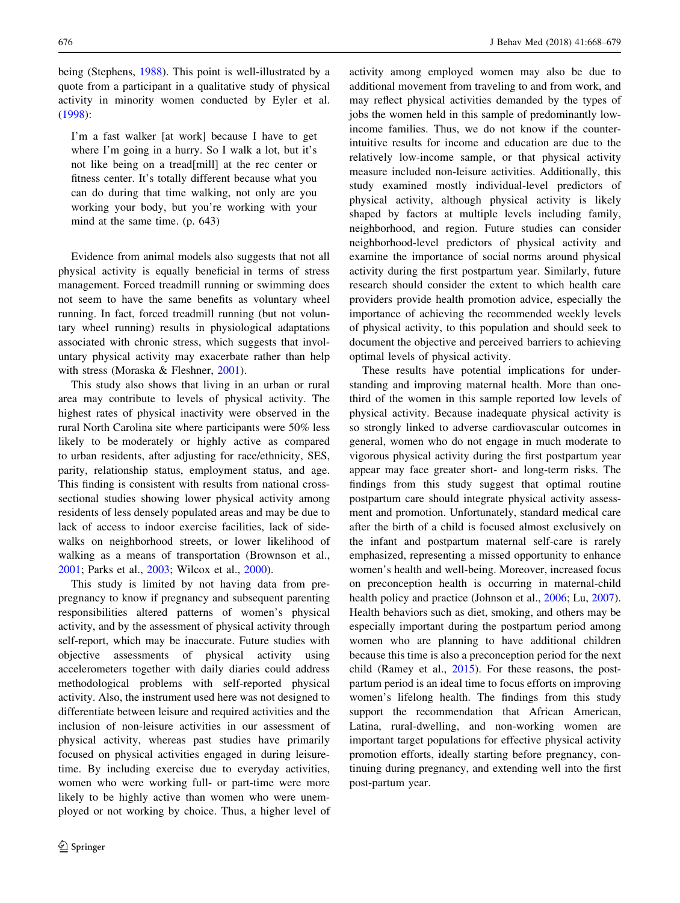being (Stephens, [1988](#page-11-0)). This point is well-illustrated by a quote from a participant in a qualitative study of physical activity in minority women conducted by Eyler et al. [\(1998](#page-9-0)):

I'm a fast walker [at work] because I have to get where I'm going in a hurry. So I walk a lot, but it's not like being on a tread[mill] at the rec center or fitness center. It's totally different because what you can do during that time walking, not only are you working your body, but you're working with your mind at the same time. (p. 643)

Evidence from animal models also suggests that not all physical activity is equally beneficial in terms of stress management. Forced treadmill running or swimming does not seem to have the same benefits as voluntary wheel running. In fact, forced treadmill running (but not voluntary wheel running) results in physiological adaptations associated with chronic stress, which suggests that involuntary physical activity may exacerbate rather than help with stress (Moraska & Fleshner, [2001\)](#page-10-0).

This study also shows that living in an urban or rural area may contribute to levels of physical activity. The highest rates of physical inactivity were observed in the rural North Carolina site where participants were 50% less likely to be moderately or highly active as compared to urban residents, after adjusting for race/ethnicity, SES, parity, relationship status, employment status, and age. This finding is consistent with results from national crosssectional studies showing lower physical activity among residents of less densely populated areas and may be due to lack of access to indoor exercise facilities, lack of sidewalks on neighborhood streets, or lower likelihood of walking as a means of transportation (Brownson et al., [2001;](#page-9-0) Parks et al., [2003;](#page-10-0) Wilcox et al., [2000\)](#page-11-0).

This study is limited by not having data from prepregnancy to know if pregnancy and subsequent parenting responsibilities altered patterns of women's physical activity, and by the assessment of physical activity through self-report, which may be inaccurate. Future studies with objective assessments of physical activity using accelerometers together with daily diaries could address methodological problems with self-reported physical activity. Also, the instrument used here was not designed to differentiate between leisure and required activities and the inclusion of non-leisure activities in our assessment of physical activity, whereas past studies have primarily focused on physical activities engaged in during leisuretime. By including exercise due to everyday activities, women who were working full- or part-time were more likely to be highly active than women who were unemployed or not working by choice. Thus, a higher level of

activity among employed women may also be due to additional movement from traveling to and from work, and may reflect physical activities demanded by the types of jobs the women held in this sample of predominantly lowincome families. Thus, we do not know if the counterintuitive results for income and education are due to the relatively low-income sample, or that physical activity measure included non-leisure activities. Additionally, this study examined mostly individual-level predictors of physical activity, although physical activity is likely shaped by factors at multiple levels including family, neighborhood, and region. Future studies can consider neighborhood-level predictors of physical activity and examine the importance of social norms around physical activity during the first postpartum year. Similarly, future research should consider the extent to which health care providers provide health promotion advice, especially the importance of achieving the recommended weekly levels of physical activity, to this population and should seek to document the objective and perceived barriers to achieving optimal levels of physical activity.

These results have potential implications for understanding and improving maternal health. More than onethird of the women in this sample reported low levels of physical activity. Because inadequate physical activity is so strongly linked to adverse cardiovascular outcomes in general, women who do not engage in much moderate to vigorous physical activity during the first postpartum year appear may face greater short- and long-term risks. The findings from this study suggest that optimal routine postpartum care should integrate physical activity assessment and promotion. Unfortunately, standard medical care after the birth of a child is focused almost exclusively on the infant and postpartum maternal self-care is rarely emphasized, representing a missed opportunity to enhance women's health and well-being. Moreover, increased focus on preconception health is occurring in maternal-child health policy and practice (Johnson et al., [2006;](#page-10-0) Lu, [2007](#page-10-0)). Health behaviors such as diet, smoking, and others may be especially important during the postpartum period among women who are planning to have additional children because this time is also a preconception period for the next child (Ramey et al., [2015](#page-10-0)). For these reasons, the postpartum period is an ideal time to focus efforts on improving women's lifelong health. The findings from this study support the recommendation that African American, Latina, rural-dwelling, and non-working women are important target populations for effective physical activity promotion efforts, ideally starting before pregnancy, continuing during pregnancy, and extending well into the first post-partum year.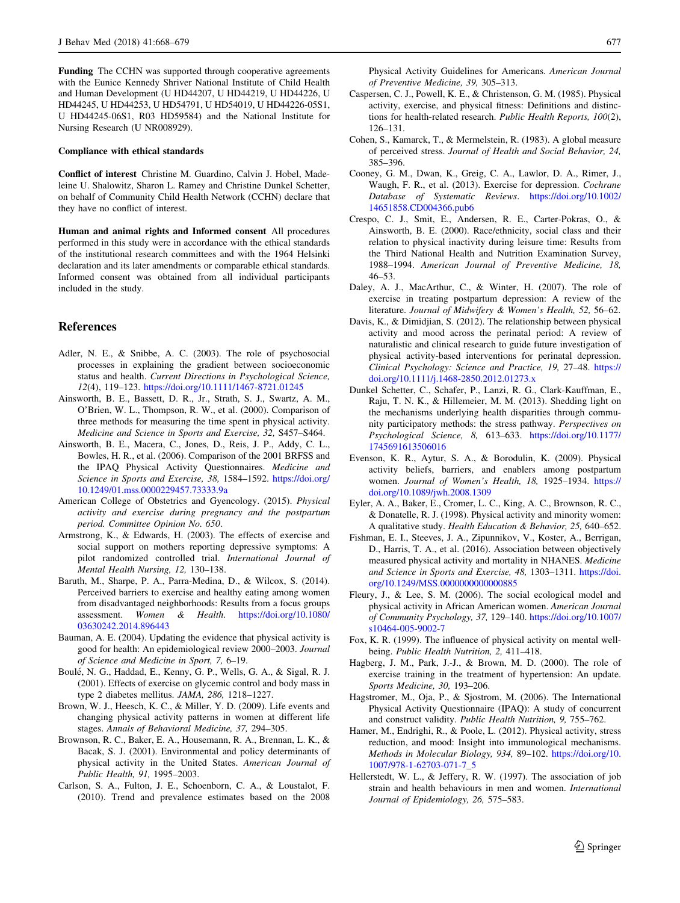<span id="page-9-0"></span>Funding The CCHN was supported through cooperative agreements with the Eunice Kennedy Shriver National Institute of Child Health and Human Development (U HD44207, U HD44219, U HD44226, U HD44245, U HD44253, U HD54791, U HD54019, U HD44226-05S1, U HD44245-06S1, R03 HD59584) and the National Institute for Nursing Research (U NR008929).

#### Compliance with ethical standards

Conflict of interest Christine M. Guardino, Calvin J. Hobel, Madeleine U. Shalowitz, Sharon L. Ramey and Christine Dunkel Schetter, on behalf of Community Child Health Network (CCHN) declare that they have no conflict of interest.

Human and animal rights and Informed consent All procedures performed in this study were in accordance with the ethical standards of the institutional research committees and with the 1964 Helsinki declaration and its later amendments or comparable ethical standards. Informed consent was obtained from all individual participants included in the study.

#### References

- Adler, N. E., & Snibbe, A. C. (2003). The role of psychosocial processes in explaining the gradient between socioeconomic status and health. Current Directions in Psychological Science, 12(4), 119–123. <https://doi.org/10.1111/1467-8721.01245>
- Ainsworth, B. E., Bassett, D. R., Jr., Strath, S. J., Swartz, A. M., O'Brien, W. L., Thompson, R. W., et al. (2000). Comparison of three methods for measuring the time spent in physical activity. Medicine and Science in Sports and Exercise, 32, S457–S464.
- Ainsworth, B. E., Macera, C., Jones, D., Reis, J. P., Addy, C. L., Bowles, H. R., et al. (2006). Comparison of the 2001 BRFSS and the IPAQ Physical Activity Questionnaires. Medicine and Science in Sports and Exercise, 38, 1584–1592. [https://doi.org/](https://doi.org/10.1249/01.mss.0000229457.73333.9a) [10.1249/01.mss.0000229457.73333.9a](https://doi.org/10.1249/01.mss.0000229457.73333.9a)
- American College of Obstetrics and Gyencology. (2015). Physical activity and exercise during pregnancy and the postpartum period. Committee Opinion No. 650.
- Armstrong, K., & Edwards, H. (2003). The effects of exercise and social support on mothers reporting depressive symptoms: A pilot randomized controlled trial. International Journal of Mental Health Nursing, 12, 130–138.
- Baruth, M., Sharpe, P. A., Parra-Medina, D., & Wilcox, S. (2014). Perceived barriers to exercise and healthy eating among women from disadvantaged neighborhoods: Results from a focus groups assessment. Women & Health. [https://doi.org/10.1080/](https://doi.org/10.1080/03630242.2014.896443) [03630242.2014.896443](https://doi.org/10.1080/03630242.2014.896443)
- Bauman, A. E. (2004). Updating the evidence that physical activity is good for health: An epidemiological review 2000–2003. Journal of Science and Medicine in Sport, 7, 6–19.
- Boulé, N. G., Haddad, E., Kenny, G. P., Wells, G. A., & Sigal, R. J. (2001). Effects of exercise on glycemic control and body mass in type 2 diabetes mellitus. JAMA, 286, 1218–1227.
- Brown, W. J., Heesch, K. C., & Miller, Y. D. (2009). Life events and changing physical activity patterns in women at different life stages. Annals of Behavioral Medicine, 37, 294–305.
- Brownson, R. C., Baker, E. A., Housemann, R. A., Brennan, L. K., & Bacak, S. J. (2001). Environmental and policy determinants of physical activity in the United States. American Journal of Public Health, 91, 1995–2003.
- Carlson, S. A., Fulton, J. E., Schoenborn, C. A., & Loustalot, F. (2010). Trend and prevalence estimates based on the 2008

Physical Activity Guidelines for Americans. American Journal of Preventive Medicine, 39, 305–313.

- Caspersen, C. J., Powell, K. E., & Christenson, G. M. (1985). Physical activity, exercise, and physical fitness: Definitions and distinctions for health-related research. Public Health Reports, 100(2), 126–131.
- Cohen, S., Kamarck, T., & Mermelstein, R. (1983). A global measure of perceived stress. Journal of Health and Social Behavior, 24, 385–396.
- Cooney, G. M., Dwan, K., Greig, C. A., Lawlor, D. A., Rimer, J., Waugh, F. R., et al. (2013). Exercise for depression. Cochrane Database of Systematic Reviews. [https://doi.org/10.1002/](https://doi.org/10.1002/14651858.CD004366.pub6) [14651858.CD004366.pub6](https://doi.org/10.1002/14651858.CD004366.pub6)
- Crespo, C. J., Smit, E., Andersen, R. E., Carter-Pokras, O., & Ainsworth, B. E. (2000). Race/ethnicity, social class and their relation to physical inactivity during leisure time: Results from the Third National Health and Nutrition Examination Survey, 1988–1994. American Journal of Preventive Medicine, 18, 46–53.
- Daley, A. J., MacArthur, C., & Winter, H. (2007). The role of exercise in treating postpartum depression: A review of the literature. Journal of Midwifery & Women's Health, 52, 56–62.
- Davis, K., & Dimidjian, S. (2012). The relationship between physical activity and mood across the perinatal period: A review of naturalistic and clinical research to guide future investigation of physical activity-based interventions for perinatal depression. Clinical Psychology: Science and Practice, 19, 27–48. [https://](https://doi.org/10.1111/j.1468-2850.2012.01273.x) [doi.org/10.1111/j.1468-2850.2012.01273.x](https://doi.org/10.1111/j.1468-2850.2012.01273.x)
- Dunkel Schetter, C., Schafer, P., Lanzi, R. G., Clark-Kauffman, E., Raju, T. N. K., & Hillemeier, M. M. (2013). Shedding light on the mechanisms underlying health disparities through community participatory methods: the stress pathway. Perspectives on Psychological Science, 8, 613–633. [https://doi.org/10.1177/](https://doi.org/10.1177/1745691613506016) [1745691613506016](https://doi.org/10.1177/1745691613506016)
- Evenson, K. R., Aytur, S. A., & Borodulin, K. (2009). Physical activity beliefs, barriers, and enablers among postpartum women. Journal of Women's Health, 18, 1925–1934. [https://](https://doi.org/10.1089/jwh.2008.1309) [doi.org/10.1089/jwh.2008.1309](https://doi.org/10.1089/jwh.2008.1309)
- Eyler, A. A., Baker, E., Cromer, L. C., King, A. C., Brownson, R. C., & Donatelle, R. J. (1998). Physical activity and minority women: A qualitative study. Health Education & Behavior, 25, 640–652.
- Fishman, E. I., Steeves, J. A., Zipunnikov, V., Koster, A., Berrigan, D., Harris, T. A., et al. (2016). Association between objectively measured physical activity and mortality in NHANES. Medicine and Science in Sports and Exercise, 48, 1303–1311. [https://doi.](https://doi.org/10.1249/MSS.0000000000000885) [org/10.1249/MSS.0000000000000885](https://doi.org/10.1249/MSS.0000000000000885)
- Fleury, J., & Lee, S. M. (2006). The social ecological model and physical activity in African American women. American Journal of Community Psychology, 37, 129–140. [https://doi.org/10.1007/](https://doi.org/10.1007/s10464-005-9002-7) [s10464-005-9002-7](https://doi.org/10.1007/s10464-005-9002-7)
- Fox, K. R. (1999). The influence of physical activity on mental wellbeing. Public Health Nutrition, 2, 411–418.
- Hagberg, J. M., Park, J.-J., & Brown, M. D. (2000). The role of exercise training in the treatment of hypertension: An update. Sports Medicine, 30, 193–206.
- Hagstromer, M., Oja, P., & Sjostrom, M. (2006). The International Physical Activity Questionnaire (IPAQ): A study of concurrent and construct validity. Public Health Nutrition, 9, 755–762.
- Hamer, M., Endrighi, R., & Poole, L. (2012). Physical activity, stress reduction, and mood: Insight into immunological mechanisms. Methods in Molecular Biology, 934, 89–102. [https://doi.org/10.](https://doi.org/10.1007/978-1-62703-071-7_5) [1007/978-1-62703-071-7\\_5](https://doi.org/10.1007/978-1-62703-071-7_5)
- Hellerstedt, W. L., & Jeffery, R. W. (1997). The association of job strain and health behaviours in men and women. International Journal of Epidemiology, 26, 575–583.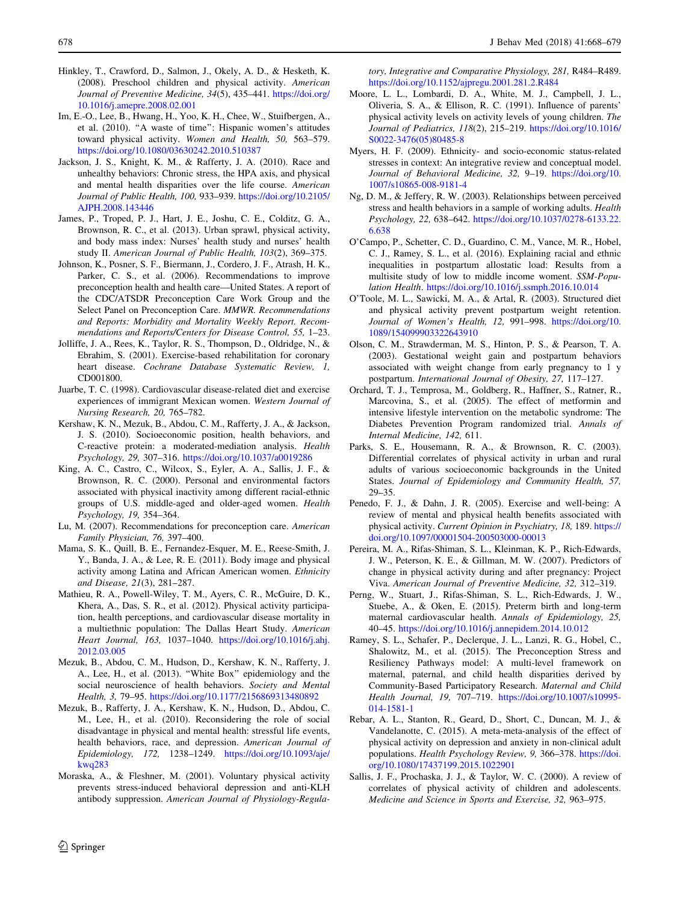- <span id="page-10-0"></span>Hinkley, T., Crawford, D., Salmon, J., Okely, A. D., & Hesketh, K. (2008). Preschool children and physical activity. American Journal of Preventive Medicine, 34(5), 435–441. [https://doi.org/](https://doi.org/10.1016/j.amepre.2008.02.001) [10.1016/j.amepre.2008.02.001](https://doi.org/10.1016/j.amepre.2008.02.001)
- Im, E.-O., Lee, B., Hwang, H., Yoo, K. H., Chee, W., Stuifbergen, A., et al. (2010). ''A waste of time'': Hispanic women's attitudes toward physical activity. Women and Health, 50, 563–579. <https://doi.org/10.1080/03630242.2010.510387>
- Jackson, J. S., Knight, K. M., & Rafferty, J. A. (2010). Race and unhealthy behaviors: Chronic stress, the HPA axis, and physical and mental health disparities over the life course. American Journal of Public Health, 100, 933–939. [https://doi.org/10.2105/](https://doi.org/10.2105/AJPH.2008.143446) [AJPH.2008.143446](https://doi.org/10.2105/AJPH.2008.143446)
- James, P., Troped, P. J., Hart, J. E., Joshu, C. E., Colditz, G. A., Brownson, R. C., et al. (2013). Urban sprawl, physical activity, and body mass index: Nurses' health study and nurses' health study II. American Journal of Public Health, 103(2), 369–375.
- Johnson, K., Posner, S. F., Biermann, J., Cordero, J. F., Atrash, H. K., Parker, C. S., et al. (2006). Recommendations to improve preconception health and health care—United States. A report of the CDC/ATSDR Preconception Care Work Group and the Select Panel on Preconception Care. MMWR. Recommendations and Reports: Morbidity and Mortality Weekly Report. Recommendations and Reports/Centers for Disease Control, 55, 1–23.
- Jolliffe, J. A., Rees, K., Taylor, R. S., Thompson, D., Oldridge, N., & Ebrahim, S. (2001). Exercise-based rehabilitation for coronary heart disease. Cochrane Database Systematic Review, 1, CD001800.
- Juarbe, T. C. (1998). Cardiovascular disease-related diet and exercise experiences of immigrant Mexican women. Western Journal of Nursing Research, 20, 765–782.
- Kershaw, K. N., Mezuk, B., Abdou, C. M., Rafferty, J. A., & Jackson, J. S. (2010). Socioeconomic position, health behaviors, and C-reactive protein: a moderated-mediation analysis. Health Psychology, 29, 307–316. <https://doi.org/10.1037/a0019286>
- King, A. C., Castro, C., Wilcox, S., Eyler, A. A., Sallis, J. F., & Brownson, R. C. (2000). Personal and environmental factors associated with physical inactivity among different racial-ethnic groups of U.S. middle-aged and older-aged women. Health Psychology, 19, 354–364.
- Lu, M. (2007). Recommendations for preconception care. American Family Physician, 76, 397–400.
- Mama, S. K., Quill, B. E., Fernandez-Esquer, M. E., Reese-Smith, J. Y., Banda, J. A., & Lee, R. E. (2011). Body image and physical activity among Latina and African American women. Ethnicity and Disease, 21(3), 281–287.
- Mathieu, R. A., Powell-Wiley, T. M., Ayers, C. R., McGuire, D. K., Khera, A., Das, S. R., et al. (2012). Physical activity participation, health perceptions, and cardiovascular disease mortality in a multiethnic population: The Dallas Heart Study. American Heart Journal, 163, 1037–1040. [https://doi.org/10.1016/j.ahj.](https://doi.org/10.1016/j.ahj.2012.03.005) [2012.03.005](https://doi.org/10.1016/j.ahj.2012.03.005)
- Mezuk, B., Abdou, C. M., Hudson, D., Kershaw, K. N., Rafferty, J. A., Lee, H., et al. (2013). ''White Box'' epidemiology and the social neuroscience of health behaviors. Society and Mental Health, 3, 79–95. <https://doi.org/10.1177/2156869313480892>
- Mezuk, B., Rafferty, J. A., Kershaw, K. N., Hudson, D., Abdou, C. M., Lee, H., et al. (2010). Reconsidering the role of social disadvantage in physical and mental health: stressful life events, health behaviors, race, and depression. American Journal of Epidemiology, 172, 1238–1249. [https://doi.org/10.1093/aje/](https://doi.org/10.1093/aje/kwq283) [kwq283](https://doi.org/10.1093/aje/kwq283)
- Moraska, A., & Fleshner, M. (2001). Voluntary physical activity prevents stress-induced behavioral depression and anti-KLH antibody suppression. American Journal of Physiology-Regula-

tory, Integrative and Comparative Physiology, 281, R484–R489. <https://doi.org/10.1152/ajpregu.2001.281.2.R484>

- Moore, L. L., Lombardi, D. A., White, M. J., Campbell, J. L., Oliveria, S. A., & Ellison, R. C. (1991). Influence of parents' physical activity levels on activity levels of young children. The Journal of Pediatrics, 118(2), 215–219. [https://doi.org/10.1016/](https://doi.org/10.1016/S0022-3476(05)80485-8) [S0022-3476\(05\)80485-8](https://doi.org/10.1016/S0022-3476(05)80485-8)
- Myers, H. F. (2009). Ethnicity- and socio-economic status-related stresses in context: An integrative review and conceptual model. Journal of Behavioral Medicine, 32, 9–19. [https://doi.org/10.](https://doi.org/10.1007/s10865-008-9181-4) [1007/s10865-008-9181-4](https://doi.org/10.1007/s10865-008-9181-4)
- Ng, D. M., & Jeffery, R. W. (2003). Relationships between perceived stress and health behaviors in a sample of working adults. Health Psychology, 22, 638–642. [https://doi.org/10.1037/0278-6133.22.](https://doi.org/10.1037/0278-6133.22.6.638) [6.638](https://doi.org/10.1037/0278-6133.22.6.638)
- O'Campo, P., Schetter, C. D., Guardino, C. M., Vance, M. R., Hobel, C. J., Ramey, S. L., et al. (2016). Explaining racial and ethnic inequalities in postpartum allostatic load: Results from a multisite study of low to middle income woment. SSM-Population Health. <https://doi.org/10.1016/j.ssmph.2016.10.014>
- O'Toole, M. L., Sawicki, M. A., & Artal, R. (2003). Structured diet and physical activity prevent postpartum weight retention. Journal of Women's Health, 12, 991–998. [https://doi.org/10.](https://doi.org/10.1089/154099903322643910) [1089/154099903322643910](https://doi.org/10.1089/154099903322643910)
- Olson, C. M., Strawderman, M. S., Hinton, P. S., & Pearson, T. A. (2003). Gestational weight gain and postpartum behaviors associated with weight change from early pregnancy to 1 y postpartum. International Journal of Obesity, 27, 117–127.
- Orchard, T. J., Temprosa, M., Goldberg, R., Haffner, S., Ratner, R., Marcovina, S., et al. (2005). The effect of metformin and intensive lifestyle intervention on the metabolic syndrome: The Diabetes Prevention Program randomized trial. Annals of Internal Medicine, 142, 611.
- Parks, S. E., Housemann, R. A., & Brownson, R. C. (2003). Differential correlates of physical activity in urban and rural adults of various socioeconomic backgrounds in the United States. Journal of Epidemiology and Community Health, 57, 29–35.
- Penedo, F. J., & Dahn, J. R. (2005). Exercise and well-being: A review of mental and physical health benefits associated with physical activity. Current Opinion in Psychiatry, 18, 189. [https://](https://doi.org/10.1097/00001504-200503000-00013) [doi.org/10.1097/00001504-200503000-00013](https://doi.org/10.1097/00001504-200503000-00013)
- Pereira, M. A., Rifas-Shiman, S. L., Kleinman, K. P., Rich-Edwards, J. W., Peterson, K. E., & Gillman, M. W. (2007). Predictors of change in physical activity during and after pregnancy: Project Viva. American Journal of Preventive Medicine, 32, 312–319.
- Perng, W., Stuart, J., Rifas-Shiman, S. L., Rich-Edwards, J. W., Stuebe, A., & Oken, E. (2015). Preterm birth and long-term maternal cardiovascular health. Annals of Epidemiology, 25, 40–45. <https://doi.org/10.1016/j.annepidem.2014.10.012>
- Ramey, S. L., Schafer, P., Declerque, J. L., Lanzi, R. G., Hobel, C., Shalowitz, M., et al. (2015). The Preconception Stress and Resiliency Pathways model: A multi-level framework on maternal, paternal, and child health disparities derived by Community-Based Participatory Research. Maternal and Child Health Journal, 19, 707–719. [https://doi.org/10.1007/s10995-](https://doi.org/10.1007/s10995-014-1581-1) [014-1581-1](https://doi.org/10.1007/s10995-014-1581-1)
- Rebar, A. L., Stanton, R., Geard, D., Short, C., Duncan, M. J., & Vandelanotte, C. (2015). A meta-meta-analysis of the effect of physical activity on depression and anxiety in non-clinical adult populations. Health Psychology Review, 9, 366–378. [https://doi.](https://doi.org/10.1080/17437199.2015.1022901) [org/10.1080/17437199.2015.1022901](https://doi.org/10.1080/17437199.2015.1022901)
- Sallis, J. F., Prochaska, J. J., & Taylor, W. C. (2000). A review of correlates of physical activity of children and adolescents. Medicine and Science in Sports and Exercise, 32, 963–975.